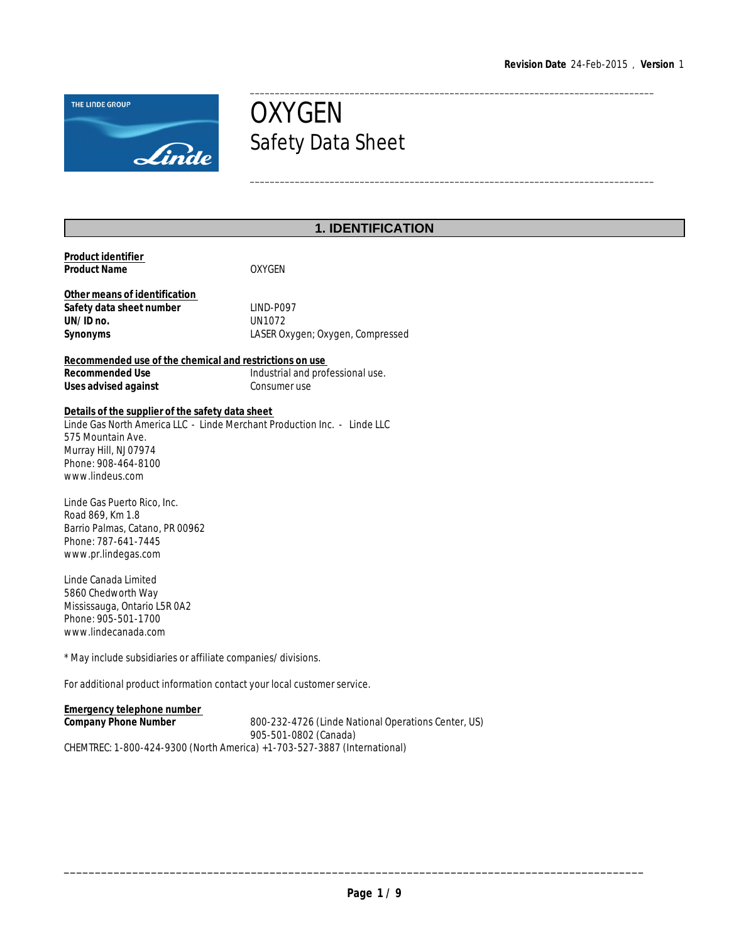\_\_\_\_\_\_\_\_\_\_\_\_\_\_\_\_\_\_\_\_\_\_\_\_\_\_\_\_\_\_\_\_\_\_\_\_\_\_\_\_\_\_\_\_\_\_\_\_\_\_\_\_\_\_\_\_\_\_\_\_\_\_\_\_\_\_\_\_\_\_\_\_\_\_\_\_\_\_\_\_\_

\_\_\_\_\_\_\_\_\_\_\_\_\_\_\_\_\_\_\_\_\_\_\_\_\_\_\_\_\_\_\_\_\_\_\_\_\_\_\_\_\_\_\_\_\_\_\_\_\_\_\_\_\_\_\_\_\_\_\_\_\_\_\_\_\_\_\_\_\_\_\_\_\_\_\_\_\_\_\_\_\_



# **OXYGEN** Safety Data Sheet

# **1. IDENTIFICATION**

| Product identifier<br><b>Product Name</b>                                                                                                                                                                            | <b>OXYGEN</b>                                                                |  |  |  |
|----------------------------------------------------------------------------------------------------------------------------------------------------------------------------------------------------------------------|------------------------------------------------------------------------------|--|--|--|
| Other means of identification<br>Safety data sheet number<br>UN/ID no.<br>Synonyms                                                                                                                                   | LIND-P097<br><b>UN1072</b><br>LASER Oxygen; Oxygen, Compressed               |  |  |  |
| Recommended use of the chemical and restrictions on use<br>Recommended Use<br>Uses advised against                                                                                                                   | Industrial and professional use.<br>Consumer use                             |  |  |  |
| Details of the supplier of the safety data sheet<br>Linde Gas North America LLC - Linde Merchant Production Inc. - Linde LLC<br>575 Mountain Ave.<br>Murray Hill, NJ 07974<br>Phone: 908-464-8100<br>www.lindeus.com |                                                                              |  |  |  |
| Linde Gas Puerto Rico, Inc.<br>Road 869, Km 1.8<br>Barrio Palmas, Catano, PR 00962<br>Phone: 787-641-7445<br>www.pr.lindegas.com                                                                                     |                                                                              |  |  |  |
| Linde Canada Limited<br>5860 Chedworth Way<br>Mississauga, Ontario L5R 0A2<br>Phone: 905-501-1700<br>www.lindecanada.com                                                                                             |                                                                              |  |  |  |
| * May include subsidiaries or affiliate companies/divisions.                                                                                                                                                         |                                                                              |  |  |  |
| For additional product information contact your local customer service.                                                                                                                                              |                                                                              |  |  |  |
| <b>Emergency telephone number</b><br>Company Phone Number                                                                                                                                                            | 800-232-4726 (Linde National Operations Center, US)<br>905-501-0802 (Canada) |  |  |  |

CHEMTREC: 1-800-424-9300 (North America) +1-703-527-3887 (International)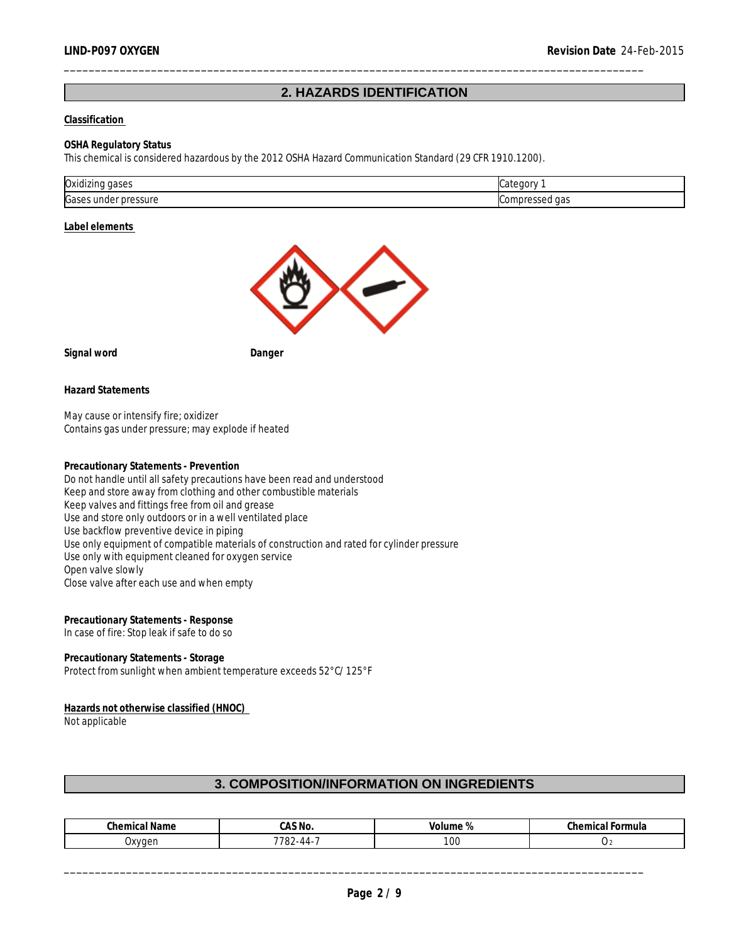# **2. HAZARDS IDENTIFICATION**

\_\_\_\_\_\_\_\_\_\_\_\_\_\_\_\_\_\_\_\_\_\_\_\_\_\_\_\_\_\_\_\_\_\_\_\_\_\_\_\_\_\_\_\_\_\_\_\_\_\_\_\_\_\_\_\_\_\_\_\_\_\_\_\_\_\_\_\_\_\_\_\_\_\_\_\_\_\_\_\_\_\_\_\_\_\_\_\_\_\_\_\_\_

#### **Classification**

#### **OSHA Regulatory Status**

This chemical is considered hazardous by the 2012 OSHA Hazard Communication Standard (29 CFR 1910.1200).

| Oxidizi<br>uases<br>нч               | .                         |
|--------------------------------------|---------------------------|
| <b>Gase</b><br>ressure<br>۵r<br>unae | .,<br>$\sim$ $\sim$<br>ud |

#### **Label elements**



**Signal word Danger** 

**Hazard Statements**

May cause or intensify fire; oxidizer Contains gas under pressure; may explode if heated

**Precautionary Statements - Prevention** Do not handle until all safety precautions have been read and understood Keep and store away from clothing and other combustible materials Keep valves and fittings free from oil and grease Use and store only outdoors or in a well ventilated place Use backflow preventive device in piping Use only equipment of compatible materials of construction and rated for cylinder pressure Use only with equipment cleaned for oxygen service Open valve slowly Close valve after each use and when empty

**Precautionary Statements - Response** In case of fire: Stop leak if safe to do so

**Precautionary Statements - Storage** Protect from sunlight when ambient temperature exceeds 52°C/125°F

**Hazards not otherwise classified (HNOC)**  Not applicable

# **3. COMPOSITION/INFORMATION ON INGREDIENTS**

| <b>Chamical</b><br>Chemical Name | $\sim$ $\sim$ $\sim$<br>,A.) IVU. | $\sim$<br>ume<br>10'<br>ັ<br>- 70 | $^{\circ}$ h $^{\circ}$ mu<br>-ormula<br>nical<br>uner |
|----------------------------------|-----------------------------------|-----------------------------------|--------------------------------------------------------|
| Oxvaer<br>. .                    | <b>7702</b><br>′ -44-∠ں .         | 00                                | $\mathcal{L}$                                          |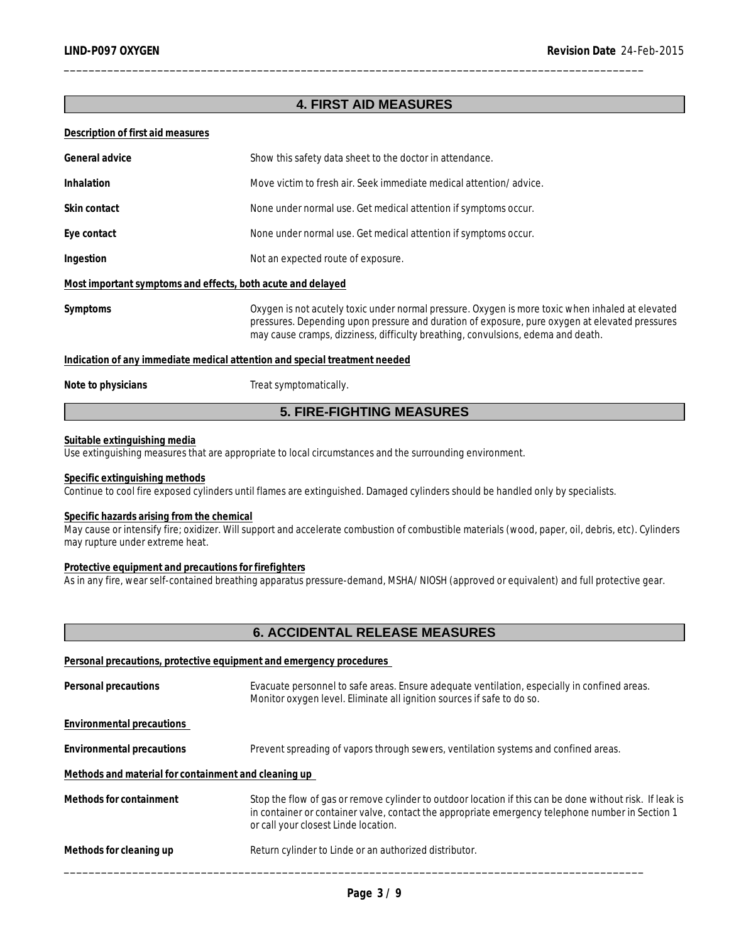# **4. FIRST AID MEASURES**

\_\_\_\_\_\_\_\_\_\_\_\_\_\_\_\_\_\_\_\_\_\_\_\_\_\_\_\_\_\_\_\_\_\_\_\_\_\_\_\_\_\_\_\_\_\_\_\_\_\_\_\_\_\_\_\_\_\_\_\_\_\_\_\_\_\_\_\_\_\_\_\_\_\_\_\_\_\_\_\_\_\_\_\_\_\_\_\_\_\_\_\_\_

#### **Description of first aid measures**

| General advice<br>Show this safety data sheet to the doctor in attendance.                                                                                                                                                                                                                         |                                                                    |  |
|----------------------------------------------------------------------------------------------------------------------------------------------------------------------------------------------------------------------------------------------------------------------------------------------------|--------------------------------------------------------------------|--|
|                                                                                                                                                                                                                                                                                                    |                                                                    |  |
| <b>Inhalation</b>                                                                                                                                                                                                                                                                                  | Move victim to fresh air. Seek immediate medical attention/advice. |  |
| Skin contact                                                                                                                                                                                                                                                                                       | None under normal use. Get medical attention if symptoms occur.    |  |
| Eye contact                                                                                                                                                                                                                                                                                        | None under normal use. Get medical attention if symptoms occur.    |  |
| Ingestion                                                                                                                                                                                                                                                                                          | Not an expected route of exposure.                                 |  |
| Most important symptoms and effects, both acute and delayed                                                                                                                                                                                                                                        |                                                                    |  |
| Symptoms<br>Oxygen is not acutely toxic under normal pressure. Oxygen is more toxic when inhaled at elevated<br>pressures. Depending upon pressure and duration of exposure, pure oxygen at elevated pressures<br>may cause cramps, dizziness, difficulty breathing, convulsions, edema and death. |                                                                    |  |
| Indication of any immediate medical attention and special treatment needed                                                                                                                                                                                                                         |                                                                    |  |
| Note to physicians                                                                                                                                                                                                                                                                                 | Treat symptomatically.                                             |  |

# **5. FIRE-FIGHTING MEASURES**

#### **Suitable extinguishing media**

Use extinguishing measures that are appropriate to local circumstances and the surrounding environment.

#### **Specific extinguishing methods**

Continue to cool fire exposed cylinders until flames are extinguished. Damaged cylinders should be handled only by specialists.

#### **Specific hazards arising from the chemical**

May cause or intensify fire; oxidizer. Will support and accelerate combustion of combustible materials (wood, paper, oil, debris, etc). Cylinders may rupture under extreme heat.

#### **Protective equipment and precautions for firefighters**

As in any fire, wear self-contained breathing apparatus pressure-demand, MSHA/NIOSH (approved or equivalent) and full protective gear.

# **6. ACCIDENTAL RELEASE MEASURES**

#### **Personal precautions, protective equipment and emergency procedures**

| Personal precautions                                 | Evacuate personnel to safe areas. Ensure adequate ventilation, especially in confined areas.<br>Monitor oxygen level. Eliminate all ignition sources if safe to do so.                                                                               |
|------------------------------------------------------|------------------------------------------------------------------------------------------------------------------------------------------------------------------------------------------------------------------------------------------------------|
| Environmental precautions                            |                                                                                                                                                                                                                                                      |
| Environmental precautions                            | Prevent spreading of vapors through sewers, ventilation systems and confined areas.                                                                                                                                                                  |
| Methods and material for containment and cleaning up |                                                                                                                                                                                                                                                      |
| Methods for containment                              | Stop the flow of gas or remove cylinder to outdoor location if this can be done without risk. If leak is<br>in container or container valve, contact the appropriate emergency telephone number in Section 1<br>or call your closest Linde location. |
| Methods for cleaning up                              | Return cylinder to Linde or an authorized distributor.                                                                                                                                                                                               |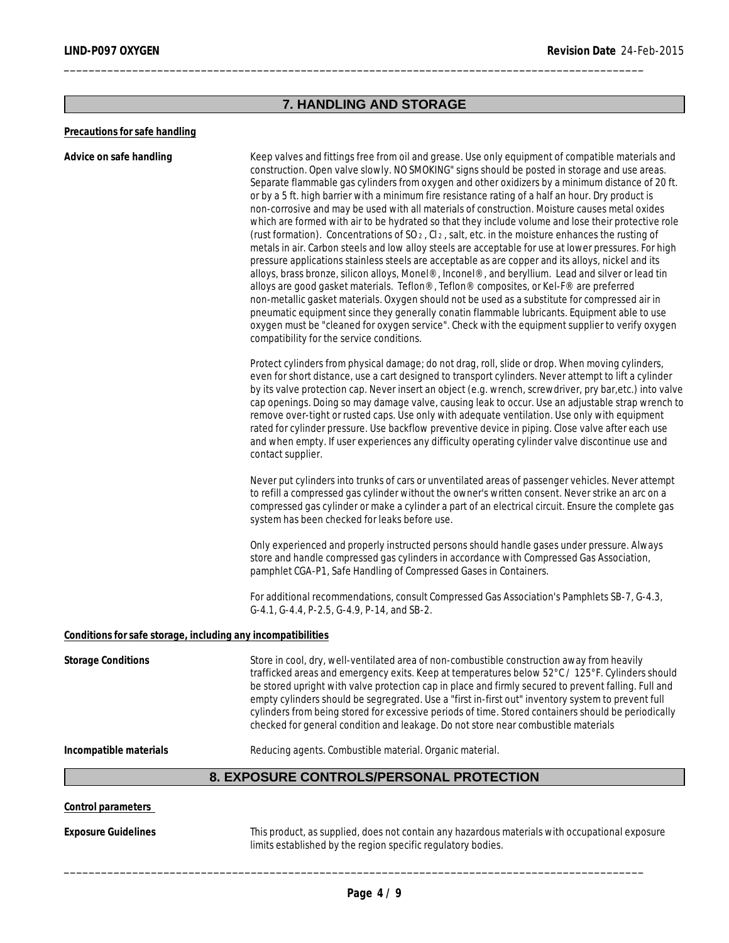# **7. HANDLING AND STORAGE**

\_\_\_\_\_\_\_\_\_\_\_\_\_\_\_\_\_\_\_\_\_\_\_\_\_\_\_\_\_\_\_\_\_\_\_\_\_\_\_\_\_\_\_\_\_\_\_\_\_\_\_\_\_\_\_\_\_\_\_\_\_\_\_\_\_\_\_\_\_\_\_\_\_\_\_\_\_\_\_\_\_\_\_\_\_\_\_\_\_\_\_\_\_

#### **Precautions for safe handling**

**Advice on safe handling** Keep valves and fittings free from oil and grease. Use only equipment of compatible materials and construction. Open valve slowly. NO SMOKING" signs should be posted in storage and use areas. Separate flammable gas cylinders from oxygen and other oxidizers by a minimum distance of 20 ft. or by a 5 ft. high barrier with a minimum fire resistance rating of a half an hour. Dry product is non-corrosive and may be used with all materials of construction. Moisture causes metal oxides which are formed with air to be hydrated so that they include volume and lose their protective role (rust formation). Concentrations of SO<sub>2</sub>, Cl<sub>2</sub>, salt, etc. in the moisture enhances the rusting of metals in air. Carbon steels and low alloy steels are acceptable for use at lower pressures. For high pressure applications stainless steels are acceptable as are copper and its alloys, nickel and its alloys, brass bronze, silicon alloys, Monel®, Inconel®, and beryllium. Lead and silver or lead tin alloys are good gasket materials. Teflon®, Teflon® composites, or Kel-F® are preferred non-metallic gasket materials. Oxygen should not be used as a substitute for compressed air in pneumatic equipment since they generally conatin flammable lubricants. Equipment able to use oxygen must be "cleaned for oxygen service". Check with the equipment supplier to verify oxygen compatibility for the service conditions.

> Protect cylinders from physical damage; do not drag, roll, slide or drop. When moving cylinders, even for short distance, use a cart designed to transport cylinders. Never attempt to lift a cylinder by its valve protection cap. Never insert an object (e.g. wrench, screwdriver, pry bar,etc.) into valve cap openings. Doing so may damage valve, causing leak to occur. Use an adjustable strap wrench to remove over-tight or rusted caps. Use only with adequate ventilation. Use only with equipment rated for cylinder pressure. Use backflow preventive device in piping. Close valve after each use and when empty. If user experiences any difficulty operating cylinder valve discontinue use and contact supplier.

Never put cylinders into trunks of cars or unventilated areas of passenger vehicles. Never attempt to refill a compressed gas cylinder without the owner's written consent. Never strike an arc on a compressed gas cylinder or make a cylinder a part of an electrical circuit. Ensure the complete gas system has been checked for leaks before use.

Only experienced and properly instructed persons should handle gases under pressure. Always store and handle compressed gas cylinders in accordance with Compressed Gas Association, pamphlet CGA-P1, Safe Handling of Compressed Gases in Containers.

For additional recommendations, consult Compressed Gas Association's Pamphlets SB-7, G-4.3, G-4.1, G-4.4, P-2.5, G-4.9, P-14, and SB-2.

#### **Conditions for safe storage, including any incompatibilities**

| Storage Conditions     | Store in cool, dry, well-ventilated area of non-combustible construction away from heavily<br>trafficked areas and emergency exits. Keep at temperatures below 52°C / 125°F. Cylinders should<br>be stored upright with valve protection cap in place and firmly secured to prevent falling. Full and<br>empty cylinders should be segregrated. Use a "first in-first out" inventory system to prevent full<br>cylinders from being stored for excessive periods of time. Stored containers should be periodically<br>checked for general condition and leakage. Do not store near combustible materials |
|------------------------|----------------------------------------------------------------------------------------------------------------------------------------------------------------------------------------------------------------------------------------------------------------------------------------------------------------------------------------------------------------------------------------------------------------------------------------------------------------------------------------------------------------------------------------------------------------------------------------------------------|
| Incompatible materials | Reducing agents. Combustible material. Organic material.                                                                                                                                                                                                                                                                                                                                                                                                                                                                                                                                                 |

# **8. EXPOSURE CONTROLS/PERSONAL PROTECTION**

#### **Control parameters**

**Exposure Guidelines** This product, as supplied, does not contain any hazardous materials with occupational exposure limits established by the region specific regulatory bodies.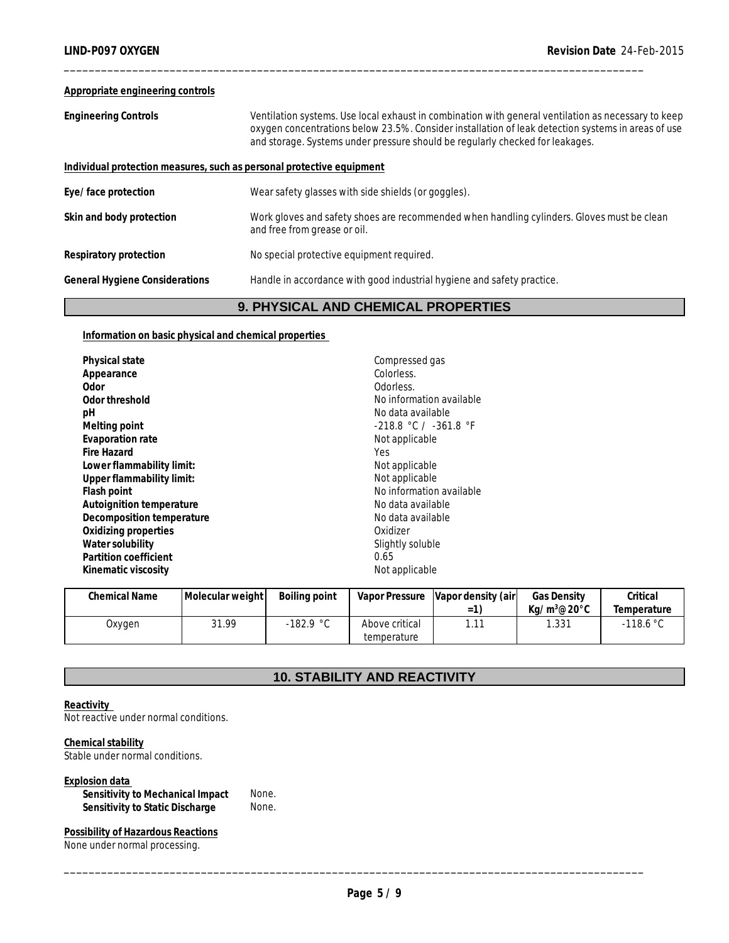#### **Appropriate engineering controls**

| <b>Engineering Controls</b>                                           | Ventilation systems. Use local exhaust in combination with general ventilation as necessary to keep<br>oxygen concentrations below 23.5%. Consider installation of leak detection systems in areas of use<br>and storage. Systems under pressure should be regularly checked for leakages. |
|-----------------------------------------------------------------------|--------------------------------------------------------------------------------------------------------------------------------------------------------------------------------------------------------------------------------------------------------------------------------------------|
| Individual protection measures, such as personal protective equipment |                                                                                                                                                                                                                                                                                            |
| Eye/face protection                                                   | Wear safety glasses with side shields (or goggles).                                                                                                                                                                                                                                        |
| Skin and body protection                                              | Work gloves and safety shoes are recommended when handling cylinders. Gloves must be clean<br>and free from grease or oil.                                                                                                                                                                 |
| Respiratory protection                                                | No special protective equipment required.                                                                                                                                                                                                                                                  |
| General Hygiene Considerations                                        | Handle in accordance with good industrial hygiene and safety practice.                                                                                                                                                                                                                     |
|                                                                       |                                                                                                                                                                                                                                                                                            |

\_\_\_\_\_\_\_\_\_\_\_\_\_\_\_\_\_\_\_\_\_\_\_\_\_\_\_\_\_\_\_\_\_\_\_\_\_\_\_\_\_\_\_\_\_\_\_\_\_\_\_\_\_\_\_\_\_\_\_\_\_\_\_\_\_\_\_\_\_\_\_\_\_\_\_\_\_\_\_\_\_\_\_\_\_\_\_\_\_\_\_\_\_

# **9. PHYSICAL AND CHEMICAL PROPERTIES**

### **Information on basic physical and chemical properties**

| Compressed gas            |
|---------------------------|
| Colorless.                |
| Odorless.                 |
| No information available  |
| No data available         |
| $-218.8$ °C / $-361.8$ °F |
| Not applicable            |
| Yes                       |
| Not applicable            |
| Not applicable            |
| No information available  |
| No data available         |
| No data available         |
| Oxidizer                  |
| Slightly soluble          |
| 0.65                      |
| Not applicable            |
|                           |

| Chemical Name | Molecular weight | Boiling point |                | Vapor Pressure Vapor density (air) | <b>Gas Density</b> | Critical                  |
|---------------|------------------|---------------|----------------|------------------------------------|--------------------|---------------------------|
|               |                  |               |                | = 1                                | $Ka/m^3@20°C$      | <i><b>Temperature</b></i> |
| Oxygen        | 31.99            | -182.9 °C     | Above critical | $\sim$                             | .331               | $-118.6 °C$               |
|               |                  |               | temperature    |                                    |                    |                           |

# **10. STABILITY AND REACTIVITY**

**Reactivity**  Not reactive under normal conditions.

**Chemical stability** Stable under normal conditions.

**Explosion data** 

**Sensitivity to Mechanical Impact** None. Sensitivity to Static Discharge **None.** 

**Possibility of Hazardous Reactions** None under normal processing.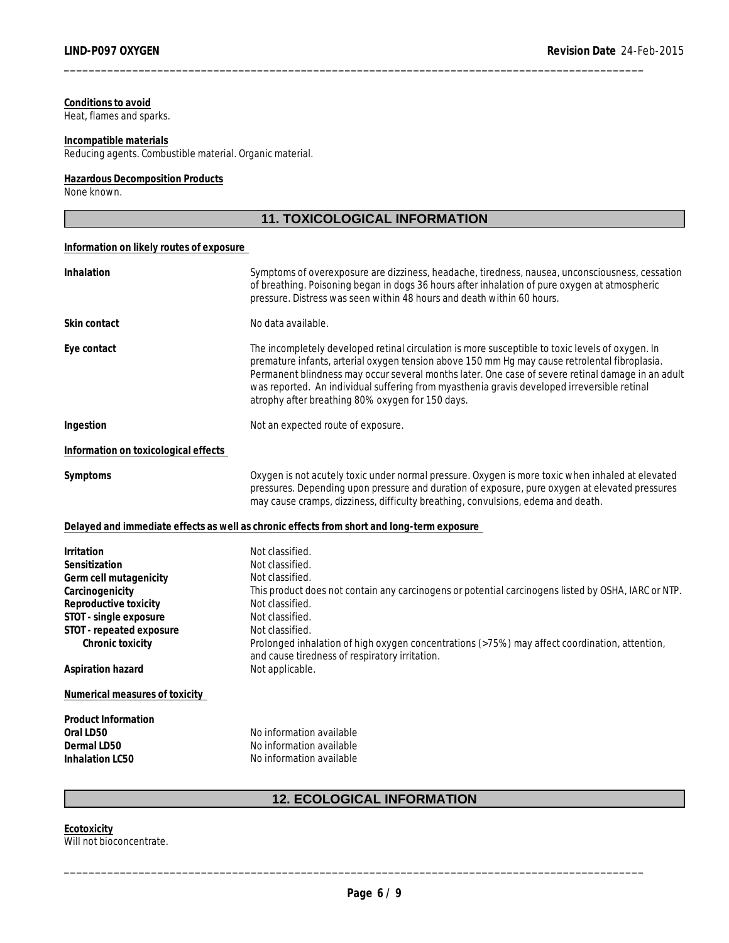#### **Conditions to avoid** Heat, flames and sparks.

#### **Incompatible materials**

Reducing agents. Combustible material. Organic material.

#### **Hazardous Decomposition Products** None known.

# **11. TOXICOLOGICAL INFORMATION**

\_\_\_\_\_\_\_\_\_\_\_\_\_\_\_\_\_\_\_\_\_\_\_\_\_\_\_\_\_\_\_\_\_\_\_\_\_\_\_\_\_\_\_\_\_\_\_\_\_\_\_\_\_\_\_\_\_\_\_\_\_\_\_\_\_\_\_\_\_\_\_\_\_\_\_\_\_\_\_\_\_\_\_\_\_\_\_\_\_\_\_\_\_

#### **Information on likely routes of exposure**

| Inhalation                                                                                                                                                                                                                                                                                                                                                                                                                                                               | Symptoms of overexposure are dizziness, headache, tiredness, nausea, unconsciousness, cessation<br>of breathing. Poisoning began in dogs 36 hours after inhalation of pure oxygen at atmospheric<br>pressure. Distress was seen within 48 hours and death within 60 hours.                                                                                                                  |  |  |  |
|--------------------------------------------------------------------------------------------------------------------------------------------------------------------------------------------------------------------------------------------------------------------------------------------------------------------------------------------------------------------------------------------------------------------------------------------------------------------------|---------------------------------------------------------------------------------------------------------------------------------------------------------------------------------------------------------------------------------------------------------------------------------------------------------------------------------------------------------------------------------------------|--|--|--|
| Skin contact                                                                                                                                                                                                                                                                                                                                                                                                                                                             | No data available.                                                                                                                                                                                                                                                                                                                                                                          |  |  |  |
| Eye contact<br>The incompletely developed retinal circulation is more susceptible to toxic levels of oxygen. In<br>premature infants, arterial oxygen tension above 150 mm Hg may cause retrolental fibroplasia.<br>Permanent blindness may occur several months later. One case of severe retinal damage in an adult<br>was reported. An individual suffering from myasthenia gravis developed irreversible retinal<br>atrophy after breathing 80% oxygen for 150 days. |                                                                                                                                                                                                                                                                                                                                                                                             |  |  |  |
| Not an expected route of exposure.<br>Ingestion                                                                                                                                                                                                                                                                                                                                                                                                                          |                                                                                                                                                                                                                                                                                                                                                                                             |  |  |  |
| Information on toxicological effects                                                                                                                                                                                                                                                                                                                                                                                                                                     |                                                                                                                                                                                                                                                                                                                                                                                             |  |  |  |
| Symptoms                                                                                                                                                                                                                                                                                                                                                                                                                                                                 | Oxygen is not acutely toxic under normal pressure. Oxygen is more toxic when inhaled at elevated<br>pressures. Depending upon pressure and duration of exposure, pure oxygen at elevated pressures<br>may cause cramps, dizziness, difficulty breathing, convulsions, edema and death.                                                                                                      |  |  |  |
|                                                                                                                                                                                                                                                                                                                                                                                                                                                                          | Delayed and immediate effects as well as chronic effects from short and long-term exposure                                                                                                                                                                                                                                                                                                  |  |  |  |
| Irritation<br>Sensitization<br>Germ cell mutagenicity<br>Carcinogenicity<br>Reproductive toxicity<br>STOT - single exposure<br>STOT - repeated exposure<br>Chronic toxicity<br>Aspiration hazard                                                                                                                                                                                                                                                                         | Not classified.<br>Not classified.<br>Not classified.<br>This product does not contain any carcinogens or potential carcinogens listed by OSHA, IARC or NTP.<br>Not classified.<br>Not classified.<br>Not classified.<br>Prolonged inhalation of high oxygen concentrations (>75%) may affect coordination, attention,<br>and cause tiredness of respiratory irritation.<br>Not applicable. |  |  |  |
| Numerical measures of toxicity                                                                                                                                                                                                                                                                                                                                                                                                                                           |                                                                                                                                                                                                                                                                                                                                                                                             |  |  |  |
| Product Information<br>Oral LD50<br>Dermal LD50<br>Inhalation LC50                                                                                                                                                                                                                                                                                                                                                                                                       | No information available<br>No information available<br>No information available                                                                                                                                                                                                                                                                                                            |  |  |  |

**Ecotoxicity**<br>Ecotoxicity<br>Will not bioconcentrate. **Ecotoxicity** Will not bioconcentrate.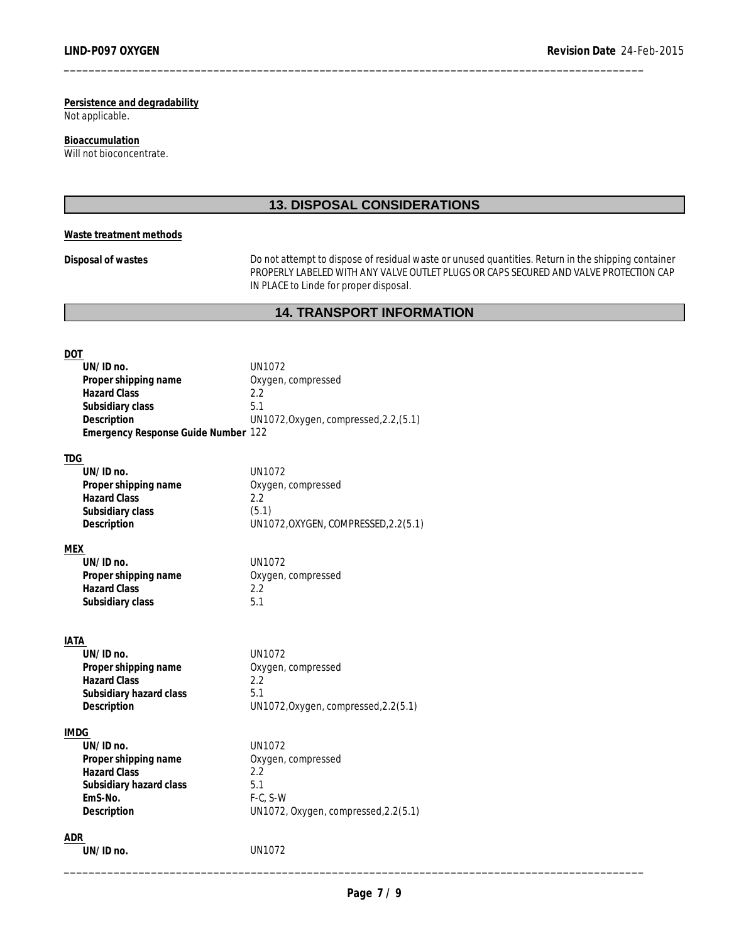**Persistence and degradability** Not applicable.

**Bioaccumulation** Will not bioconcentrate.

# **13. DISPOSAL CONSIDERATIONS**

\_\_\_\_\_\_\_\_\_\_\_\_\_\_\_\_\_\_\_\_\_\_\_\_\_\_\_\_\_\_\_\_\_\_\_\_\_\_\_\_\_\_\_\_\_\_\_\_\_\_\_\_\_\_\_\_\_\_\_\_\_\_\_\_\_\_\_\_\_\_\_\_\_\_\_\_\_\_\_\_\_\_\_\_\_\_\_\_\_\_\_\_\_

### **Waste treatment methods**

**Disposal of wastes** Do not attempt to dispose of residual waste or unused quantities. Return in the shipping container PROPERLY LABELED WITH ANY VALVE OUTLET PLUGS OR CAPS SECURED AND VALVE PROTECTION CAP IN PLACE to Linde for proper disposal.

# **14. TRANSPORT INFORMATION**

# **DOT**

|      | UN/ID no.                                   | <b>UN1072</b>                          |
|------|---------------------------------------------|----------------------------------------|
|      | Proper shipping name                        | Oxygen, compressed                     |
|      | <b>Hazard Class</b>                         | 2.2                                    |
|      | Subsidiary class                            | 5.1                                    |
|      | Description                                 | UN1072, Oxygen, compressed, 2.2, (5.1) |
|      | Emergency Response Guide Number 122         |                                        |
|      |                                             |                                        |
| TDG  | $UN/ID$ no.                                 | UN1072                                 |
|      |                                             |                                        |
|      | Proper shipping name<br><b>Hazard Class</b> | Oxygen, compressed<br>2.2              |
|      | Subsidiary class                            | (5.1)                                  |
|      |                                             | UN1072, OXYGEN, COMPRESSED, 2.2(5.1)   |
|      | Description                                 |                                        |
| MEX  |                                             |                                        |
|      | $UN/ID$ no.                                 | UN1072                                 |
|      | Proper shipping name                        | Oxygen, compressed                     |
|      | <b>Hazard Class</b>                         | 2.2                                    |
|      | Subsidiary class                            | 5.1                                    |
|      |                                             |                                        |
|      |                                             |                                        |
| IATA |                                             |                                        |
|      | UN/ID no.                                   | <b>UN1072</b>                          |
|      | Proper shipping name<br><b>Hazard Class</b> | Oxygen, compressed<br>2.2              |
|      |                                             | 5.1                                    |
|      | Subsidiary hazard class<br>Description      | UN1072, Oxygen, compressed, 2.2(5.1)   |
|      |                                             |                                        |
| IMDG |                                             |                                        |
|      | UN/ID no.                                   | <b>UN1072</b>                          |
|      | Proper shipping name                        | Oxygen, compressed                     |
|      | <b>Hazard Class</b>                         | 2.2                                    |
|      | Subsidiary hazard class                     | 5.1                                    |

**UN/ID no.** UN1072

**EmS-No.** F-C, S-W

\_\_\_\_\_\_\_\_\_\_\_\_\_\_\_\_\_\_\_\_\_\_\_\_\_\_\_\_\_\_\_\_\_\_\_\_\_\_\_\_\_\_\_\_\_\_\_\_\_\_\_\_\_\_\_\_\_\_\_\_\_\_\_\_\_\_\_\_\_\_\_\_\_\_\_\_\_\_\_\_\_\_\_\_\_\_\_\_\_\_\_\_\_ **ADR** 

**Description** UN1072, Oxygen, compressed,2.2(5.1)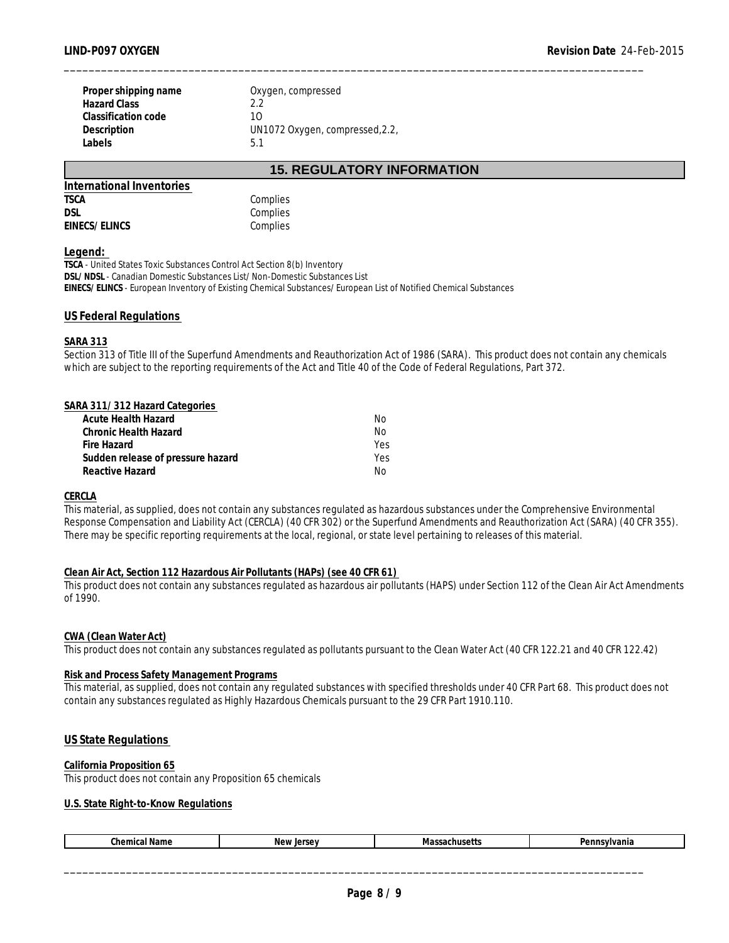| Proper shipping name | Oxygen, compressed              |
|----------------------|---------------------------------|
| Hazard Class         | 22                              |
| Classification code  | 10                              |
| Description          | UN1072 Oxygen, compressed, 2.2, |
| Labels               | 5.1                             |

# **15. REGULATORY INFORMATION**

\_\_\_\_\_\_\_\_\_\_\_\_\_\_\_\_\_\_\_\_\_\_\_\_\_\_\_\_\_\_\_\_\_\_\_\_\_\_\_\_\_\_\_\_\_\_\_\_\_\_\_\_\_\_\_\_\_\_\_\_\_\_\_\_\_\_\_\_\_\_\_\_\_\_\_\_\_\_\_\_\_\_\_\_\_\_\_\_\_\_\_\_\_

| Complies |
|----------|
| Complies |
| Complies |
|          |

#### **Legend:**

**TSCA** - United States Toxic Substances Control Act Section 8(b) Inventory **DSL/NDSL** - Canadian Domestic Substances List/Non-Domestic Substances List **EINECS/ELINCS** - European Inventory of Existing Chemical Substances/European List of Notified Chemical Substances

#### **US Federal Regulations**

#### **SARA 313**

Section 313 of Title III of the Superfund Amendments and Reauthorization Act of 1986 (SARA). This product does not contain any chemicals which are subject to the reporting requirements of the Act and Title 40 of the Code of Federal Regulations, Part 372.

| SARA 311/312 Hazard Categories    |     |  |
|-----------------------------------|-----|--|
| Acute Health Hazard               | No. |  |
| Chronic Health Hazard             | No. |  |
| Fire Hazard                       | Yes |  |
| Sudden release of pressure hazard | Yes |  |
| Reactive Hazard                   | No  |  |

#### **CERCLA**

This material, as supplied, does not contain any substances regulated as hazardous substances under the Comprehensive Environmental Response Compensation and Liability Act (CERCLA) (40 CFR 302) or the Superfund Amendments and Reauthorization Act (SARA) (40 CFR 355). There may be specific reporting requirements at the local, regional, or state level pertaining to releases of this material.

#### **Clean Air Act, Section 112 Hazardous Air Pollutants (HAPs) (see 40 CFR 61)**

This product does not contain any substances regulated as hazardous air pollutants (HAPS) under Section 112 of the Clean Air Act Amendments of 1990.

#### **CWA (Clean Water Act)**

This product does not contain any substances regulated as pollutants pursuant to the Clean Water Act (40 CFR 122.21 and 40 CFR 122.42)

#### **Risk and Process Safety Management Programs**

This material, as supplied, does not contain any regulated substances with specified thresholds under 40 CFR Part 68. This product does not contain any substances regulated as Highly Hazardous Chemicals pursuant to the 29 CFR Part 1910.110.

#### **US State Regulations**

### **California Proposition 65**

This product does not contain any Proposition 65 chemicals

#### **U.S. State Right-to-Know Regulations**

| $\cdots$<br>Chemical Name | New Jersey | $M = 100$<br>. .usuu | Pennsylvania |
|---------------------------|------------|----------------------|--------------|
|                           |            |                      |              |
|                           |            |                      |              |